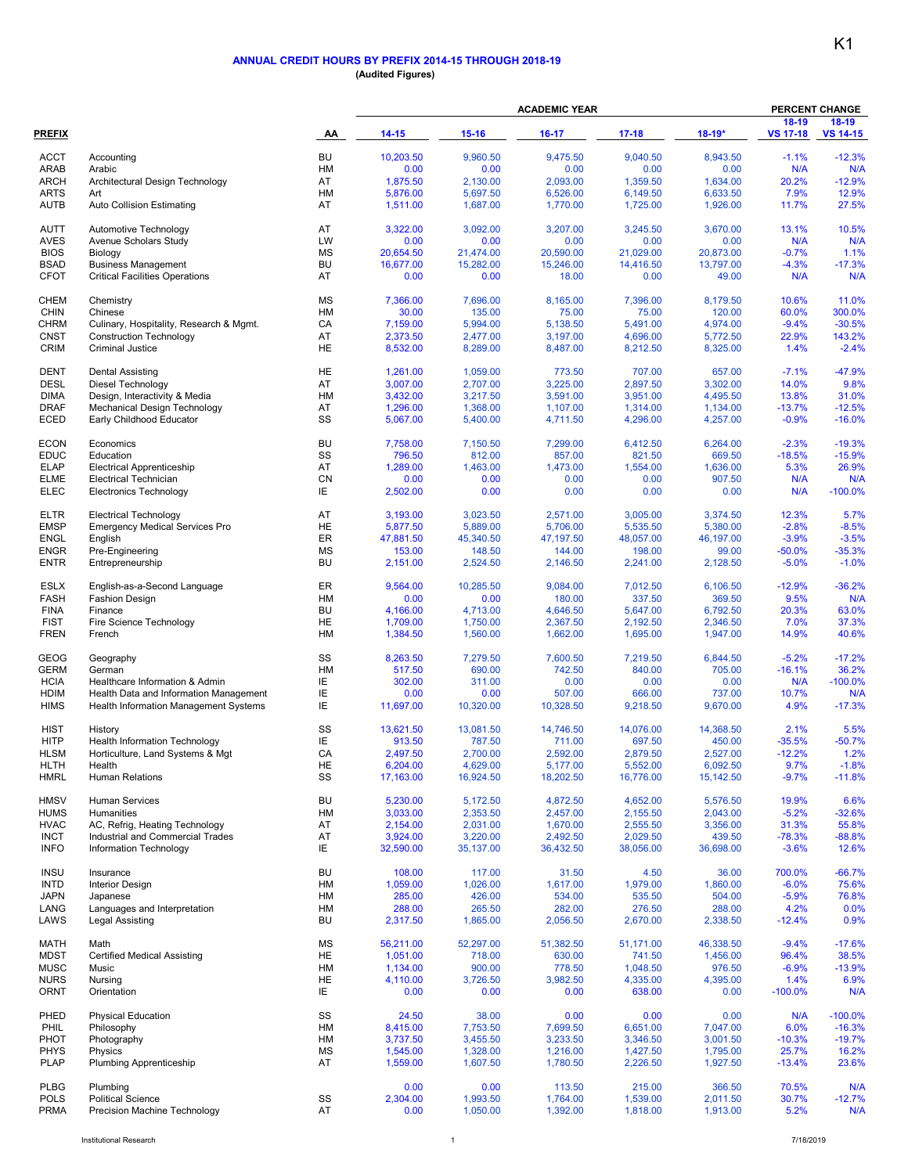## **ANNUAL CREDIT HOURS BY PREFIX 2014-15 THROUGH 2018-19 (Audited Figures)**

|                            |                                                                                 | AA              | <b>ACADEMIC YEAR</b> |                      |                      |                      |                      | <b>PERCENT CHANGE</b>    |                            |
|----------------------------|---------------------------------------------------------------------------------|-----------------|----------------------|----------------------|----------------------|----------------------|----------------------|--------------------------|----------------------------|
| <b>PREFIX</b>              |                                                                                 |                 | $14 - 15$            | $15 - 16$            | $16-17$              | $17-18$              | $18-19*$             | 18-19<br><b>VS 17-18</b> | $18-19$<br><b>VS 14-15</b> |
| <b>ACCT</b>                | Accounting                                                                      | <b>BU</b>       | 10,203.50            | 9,960.50             | 9,475.50             | 9,040.50             | 8,943.50             | $-1.1%$                  | $-12.3%$                   |
| <b>ARAB</b>                | Arabic                                                                          | HM              | 0.00                 | 0.00                 | 0.00                 | 0.00                 | 0.00                 | N/A                      | N/A                        |
| <b>ARCH</b>                | Architectural Design Technology                                                 | AT              | 1,875.50             | 2,130.00             | 2,093.00             | 1,359.50             | 1,634.00             | 20.2%                    | $-12.9%$                   |
| <b>ARTS</b><br><b>AUTB</b> | Art<br>Auto Collision Estimating                                                | HM<br>AT        | 5,876.00<br>1,511.00 | 5,697.50<br>1,687.00 | 6,526.00<br>1,770.00 | 6,149.50<br>1,725.00 | 6,633.50<br>1,926.00 | 7.9%<br>11.7%            | 12.9%<br>27.5%             |
| <b>AUTT</b>                | Automotive Technology                                                           | AT              | 3,322.00             | 3,092.00             | 3,207.00             | 3,245.50             | 3,670.00             | 13.1%                    | 10.5%                      |
| <b>AVES</b>                | Avenue Scholars Study                                                           | LW              | 0.00                 | 0.00                 | 0.00                 | 0.00                 | 0.00                 | N/A                      | N/A                        |
| <b>BIOS</b>                | Biology                                                                         | <b>MS</b>       | 20,654.50            | 21,474.00            | 20,590.00            | 21,029.00            | 20,873.00            | $-0.7%$                  | 1.1%                       |
| <b>BSAD</b><br><b>CFOT</b> | <b>Business Management</b><br><b>Critical Facilities Operations</b>             | <b>BU</b><br>AT | 16,677.00<br>0.00    | 15,282.00<br>0.00    | 15,246.00<br>18.00   | 14,416.50<br>0.00    | 13,797.00<br>49.00   | $-4.3%$<br>N/A           | $-17.3%$<br>N/A            |
| <b>CHEM</b>                | Chemistry                                                                       | MS              | 7,366.00             | 7,696.00             | 8,165.00             | 7,396.00             | 8,179.50             | 10.6%                    | 11.0%                      |
| <b>CHIN</b>                | Chinese                                                                         | HM              | 30.00                | 135.00               | 75.00                | 75.00                | 120.00               | 60.0%                    | 300.0%                     |
| <b>CHRM</b>                | Culinary, Hospitality, Research & Mgmt.                                         | CA              | 7,159.00             | 5,994.00             | 5,138.50             | 5,491.00             | 4,974.00             | $-9.4%$                  | $-30.5%$                   |
| <b>CNST</b><br><b>CRIM</b> | <b>Construction Technology</b><br><b>Criminal Justice</b>                       | AT<br>HE        | 2,373.50<br>8,532.00 | 2,477.00<br>8,289.00 | 3,197.00<br>8,487.00 | 4,696.00<br>8,212.50 | 5,772.50<br>8,325.00 | 22.9%<br>1.4%            | 143.2%<br>$-2.4%$          |
| <b>DENT</b>                | <b>Dental Assisting</b>                                                         | HE              | 1,261.00             | 1,059.00             | 773.50               | 707.00               | 657.00               | $-7.1%$                  | $-47.9%$                   |
| <b>DESL</b>                | Diesel Technology                                                               | AT              | 3,007.00             | 2,707.00             | 3,225.00             | 2,897.50             | 3,302.00             | 14.0%                    | 9.8%                       |
| <b>DIMA</b>                | Design, Interactivity & Media                                                   | <b>HM</b>       | 3,432.00             | 3,217.50             | 3,591.00             | 3,951.00             | 4,495.50             | 13.8%                    | 31.0%                      |
| <b>DRAF</b>                | Mechanical Design Technology                                                    | AT              | 1,296.00             | 1,368.00             | 1,107.00             | 1,314.00             | 1,134.00             | $-13.7%$                 | $-12.5%$                   |
| <b>ECED</b>                | Early Childhood Educator                                                        | SS              | 5,067.00             | 5,400.00             | 4,711.50             | 4,296.00             | 4,257.00             | $-0.9%$                  | $-16.0%$                   |
| <b>ECON</b>                | Economics                                                                       | <b>BU</b>       | 7,758.00             | 7,150.50             | 7,299.00             | 6,412.50             | 6,264.00             | $-2.3%$                  | $-19.3%$                   |
| <b>EDUC</b>                | Education                                                                       | SS              | 796.50               | 812.00               | 857.00               | 821.50               | 669.50               | $-18.5%$                 | $-15.9%$                   |
| <b>ELAP</b><br><b>ELME</b> | <b>Electrical Apprenticeship</b><br><b>Electrical Technician</b>                | AT<br>CN        | 1,289.00<br>0.00     | 1,463.00<br>0.00     | 1,473.00<br>0.00     | 1,554.00<br>0.00     | 1,636.00<br>907.50   | 5.3%<br>N/A              | 26.9%<br>N/A               |
| <b>ELEC</b>                | <b>Electronics Technology</b>                                                   | IE              | 2,502.00             | 0.00                 | 0.00                 | 0.00                 | 0.00                 | N/A                      | $-100.0%$                  |
| <b>ELTR</b>                | <b>Electrical Technology</b>                                                    | AT              | 3,193.00             | 3,023.50             | 2,571.00             | 3,005.00             | 3,374.50             | 12.3%                    | 5.7%                       |
| <b>EMSP</b>                | <b>Emergency Medical Services Pro</b>                                           | HE.             | 5,877.50             | 5,889.00             | 5,706.00             | 5,535.50             | 5,380.00             | $-2.8%$                  | $-8.5%$                    |
| <b>ENGL</b><br><b>ENGR</b> | English<br>Pre-Engineering                                                      | ER<br><b>MS</b> | 47,881.50<br>153.00  | 45,340.50<br>148.50  | 47,197.50<br>144.00  | 48,057.00<br>198.00  | 46,197.00<br>99.00   | $-3.9%$<br>$-50.0%$      | $-3.5%$<br>$-35.3%$        |
| <b>ENTR</b>                | Entrepreneurship                                                                | <b>BU</b>       | 2,151.00             | 2,524.50             | 2,146.50             | 2,241.00             | 2,128.50             | $-5.0%$                  | $-1.0%$                    |
| <b>ESLX</b>                | English-as-a-Second Language                                                    | ER              | 9,564.00             | 10,285.50            | 9,084.00             | 7,012.50             | 6,106.50             | $-12.9%$                 | $-36.2%$                   |
| <b>FASH</b>                | <b>Fashion Design</b>                                                           | HM              | 0.00                 | 0.00                 | 180.00               | 337.50               | 369.50               | 9.5%                     | N/A                        |
| <b>FINA</b>                | Finance                                                                         | <b>BU</b>       | 4,166.00             | 4,713.00             | 4,646.50             | 5,647.00             | 6,792.50             | 20.3%                    | 63.0%                      |
| <b>FIST</b><br><b>FREN</b> | Fire Science Technology<br>French                                               | HE<br>HM        | 1,709.00<br>1,384.50 | 1,750.00<br>1,560.00 | 2,367.50<br>1,662.00 | 2,192.50<br>1,695.00 | 2,346.50<br>1,947.00 | 7.0%<br>14.9%            | 37.3%<br>40.6%             |
| <b>GEOG</b>                | Geography                                                                       | SS              | 8,263.50             | 7,279.50             | 7,600.50             | 7,219.50             | 6,844.50             | $-5.2%$                  | $-17.2%$                   |
| <b>GERM</b>                | German                                                                          | <b>HM</b>       | 517.50               | 690.00               | 742.50               | 840.00               | 705.00               | $-16.1%$                 | 36.2%                      |
| <b>HCIA</b>                | Healthcare Information & Admin                                                  | ΙE              | 302.00               | 311.00               | 0.00                 | 0.00                 | 0.00                 | N/A                      | $-100.0%$                  |
| <b>HDIM</b><br><b>HIMS</b> | Health Data and Information Management<br>Health Information Management Systems | IE<br>IE        | 0.00<br>11,697.00    | 0.00<br>10,320.00    | 507.00<br>10,328.50  | 666.00<br>9,218.50   | 737.00<br>9,670.00   | 10.7%<br>4.9%            | N/A<br>$-17.3%$            |
| <b>HIST</b>                | History                                                                         | SS              | 13,621.50            | 13,081.50            | 14,746.50            | 14,076.00            | 14,368.50            | 2.1%                     | 5.5%                       |
| <b>HITP</b>                | <b>Health Information Technology</b>                                            | IE              | 913.50               | 787.50               | 711.00               | 697.50               | 450.00               | $-35.5%$                 | $-50.7%$                   |
| <b>HLSM</b>                | Horticulture, Land Systems & Mgt                                                | CA              | 2,497.50             | 2.700.00             | 2,592.00             | 2,879.50             | 2,527.00             | $-12.2%$                 | 1.2%                       |
| HLTH                       | Health                                                                          | HE              | 6,204.00             | 4,629.00             | 5,177.00             | 5,552.00             | 6,092.50             | 9.7%                     | $-1.8%$                    |
| <b>HMRL</b>                | Human Relations                                                                 | SS              | 17,163.00            | 16,924.50            | 18,202.50            | 16,776.00            | 15,142.50            | $-9.7%$                  | $-11.8%$                   |
| <b>HMSV</b>                | Human Services                                                                  | <b>BU</b>       | 5,230.00             | 5,172.50             | 4,872.50             | 4,652.00             | 5,576.50             | 19.9%                    | 6.6%                       |
| <b>HUMS</b><br><b>HVAC</b> | <b>Humanities</b><br>AC, Refrig, Heating Technology                             | HM<br>AT        | 3,033.00<br>2,154.00 | 2,353.50<br>2,031.00 | 2,457.00<br>1,670.00 | 2,155.50<br>2,555.50 | 2,043.00<br>3,356.00 | $-5.2%$<br>31.3%         | $-32.6%$<br>55.8%          |
| <b>INCT</b>                | Industrial and Commercial Trades                                                | AT              | 3,924.00             | 3,220.00             | 2,492.50             | 2,029.50             | 439.50               | $-78.3%$                 | $-88.8%$                   |
| <b>INFO</b>                | Information Technology                                                          | IE              | 32,590.00            | 35,137.00            | 36,432.50            | 38,056.00            | 36,698.00            | $-3.6%$                  | 12.6%                      |
| <b>INSU</b>                | Insurance                                                                       | <b>BU</b>       | 108.00               | 117.00               | 31.50                | 4.50                 | 36.00                | 700.0%                   | $-66.7%$                   |
| <b>INTD</b>                | <b>Interior Design</b>                                                          | HM              | 1,059.00             | 1,026.00             | 1,617.00             | 1,979.00             | 1,860.00             | $-6.0%$                  | 75.6%                      |
| JAPN<br>LANG               | Japanese<br>Languages and Interpretation                                        | HM<br>HM        | 285.00<br>288.00     | 426.00<br>265.50     | 534.00<br>282.00     | 535.50<br>276.50     | 504.00<br>288.00     | $-5.9%$<br>4.2%          | 76.8%<br>0.0%              |
| LAWS                       | Legal Assisting                                                                 | <b>BU</b>       | 2,317.50             | 1,865.00             | 2,056.50             | 2,670.00             | 2,338.50             | $-12.4%$                 | 0.9%                       |
| MATH                       | Math                                                                            | <b>MS</b>       | 56.211.00            | 52,297.00            | 51,382.50            | 51,171.00            | 46,338.50            | $-9.4%$                  | $-17.6%$                   |
| <b>MDST</b>                | <b>Certified Medical Assisting</b>                                              | <b>HE</b>       | 1,051.00             | 718.00               | 630.00               | 741.50               | 1,456.00             | 96.4%                    | 38.5%                      |
| <b>MUSC</b>                | Music                                                                           | HM              | 1,134.00             | 900.00               | 778.50               | 1,048.50             | 976.50               | $-6.9%$                  | $-13.9%$                   |
| <b>NURS</b><br><b>ORNT</b> | Nursing<br>Orientation                                                          | HE<br>IE.       | 4,110.00<br>0.00     | 3,726.50<br>0.00     | 3,982.50<br>0.00     | 4,335.00<br>638.00   | 4,395.00<br>0.00     | 1.4%<br>$-100.0%$        | 6.9%<br>N/A                |
| PHED                       | <b>Physical Education</b>                                                       | SS              | 24.50                | 38.00                | 0.00                 | 0.00                 | 0.00                 | N/A                      | $-100.0%$                  |
| PHIL                       | Philosophy                                                                      | HM              | 8,415.00             | 7,753.50             | 7,699.50             | 6,651.00             | 7,047.00             | 6.0%                     | $-16.3%$                   |
| PHOT                       | Photography                                                                     | HM              | 3,737.50             | 3,455.50             | 3,233.50             | 3,346.50             | 3,001.50             | $-10.3%$                 | $-19.7%$                   |
| <b>PHYS</b><br><b>PLAP</b> | Physics<br>Plumbing Apprenticeship                                              | MS<br>AT        | 1,545.00<br>1,559.00 | 1,328.00<br>1,607.50 | 1,216.00<br>1,780.50 | 1,427.50<br>2,226.50 | 1,795.00<br>1,927.50 | 25.7%<br>$-13.4%$        | 16.2%<br>23.6%             |
| <b>PLBG</b>                | Plumbing                                                                        |                 | 0.00                 | 0.00                 | 113.50               | 215.00               | 366.50               | 70.5%                    | N/A                        |
| <b>POLS</b>                | <b>Political Science</b>                                                        | SS              | 2,304.00             | 1,993.50             | 1,764.00             | 1,539.00             | 2,011.50             | 30.7%                    | $-12.7%$                   |
| <b>PRMA</b>                | Precision Machine Technology                                                    | AT              | 0.00                 | 1,050.00             | 1,392.00             | 1,818.00             | 1,913.00             | 5.2%                     | N/A                        |